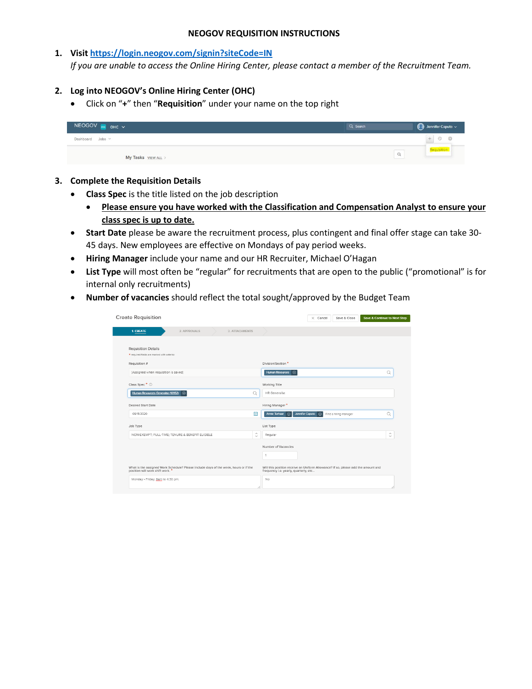#### **NEOGOV REQUISITION INSTRUCTIONS**

## **1. Visi[t https://login.neogov.com/signin?siteCode=IN](https://login.neogov.com/signin?siteCode=IN)**

*If you are unable to access the Online Hiring Center, please contact a member of the Recruitment Team.*

# **2. Log into NEOGOV's Online Hiring Center (OHC)**

• Click on "**+**" then "**Requisition**" under your name on the top right

| NEOGOV ONE OHC V    | Q Search | $\bigcirc$ Jennifer Caputo $\vee$ |
|---------------------|----------|-----------------------------------|
| Dashboard Jobs v    |          |                                   |
| My Tasks VIEW ALL > | $\alpha$ | <b><i><u>Requisition</u></i></b>  |

## **3. Complete the Requisition Details**

- **Class Spec** is the title listed on the job description
	- **Please ensure you have worked with the Classification and Compensation Analyst to ensure your class spec is up to date.**
- **Start Date** please be aware the recruitment process, plus contingent and final offer stage can take 30- 45 days. New employees are effective on Mondays of pay period weeks.
- **Hiring Manager** include your name and our HR Recruiter, Michael O'Hagan
- **List Type** will most often be "regular" for recruitments that are open to the public ("promotional" is for internal only recruitments)
- **Number of vacancies** should reflect the total sought/approved by the Budget Team

| <b>Create Requisition</b>                                                                                              | Save & Close<br><b>Save &amp; Continue to Next Step</b><br>$\times$ Cancel                                                 |
|------------------------------------------------------------------------------------------------------------------------|----------------------------------------------------------------------------------------------------------------------------|
| <b>1. CREATE</b><br>2. APPROVALS<br>3. ATTACHMENTS                                                                     |                                                                                                                            |
| <b>Requisition Details</b><br>* required fields are marked with asterisk                                               |                                                                                                                            |
| Requisition #<br>[Assigned when requisition is saved]                                                                  | Division/Section *<br>Human Resources (8)<br>Q                                                                             |
| Class Spec <sup>*</sup> ①                                                                                              | Working Title                                                                                                              |
| Human Resources Generalist (10952) 3<br>Q                                                                              | <b>HR</b> Generalist                                                                                                       |
| Desired Start Date                                                                                                     | Hiring Manager*                                                                                                            |
| 冊<br>09/15/2020                                                                                                        | Jennifer Caputo (x)<br>Annie Terhaar $\qquad \qquad \textcircled{\scriptsize{R}}$<br>Find a hiring manager<br>Q            |
| Job Type                                                                                                               | List Type                                                                                                                  |
| $\widehat{\phantom{a}}$<br>NON-EXEMPT; FULL-TIME; TENURE & BENEFIT ELIGIBLE<br>$\checkmark$                            | $\hat{\phantom{a}}$<br>Regular<br>$\checkmark$                                                                             |
|                                                                                                                        | Number of Vacancies<br>1                                                                                                   |
| What is the assigned Work Schedule? Please include days of the week, hours or if the<br>position will work shift work. | Will this position receive an Uniform Allowance? If so, please add the amount and<br>frequency i.e. yearly, quarterly, etc |
| Monday - Friday, 8am to 4:30 pm.                                                                                       | <b>No</b>                                                                                                                  |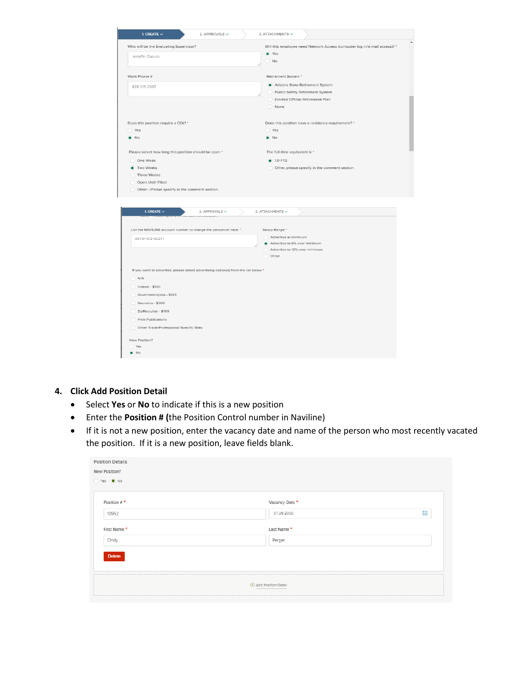| 1. CREATE $\checkmark$<br>2. APPROVALS $\checkmark$                                                                                                                                                                                                         | 3. ATTACHMENTS $\checkmark$                                                                                                                                                                                            |
|-------------------------------------------------------------------------------------------------------------------------------------------------------------------------------------------------------------------------------------------------------------|------------------------------------------------------------------------------------------------------------------------------------------------------------------------------------------------------------------------|
| Who will be the Evaluating Supervisor?<br>Jennifer Caputo                                                                                                                                                                                                   | Will this employee need Network Access (computer log in/e-mail access)? *<br>• Yes<br>N <sub>o</sub>                                                                                                                   |
| Work Phone #<br>928 213-2097<br>Does this position require a CDL? *<br>Yes<br>$\bullet$ No                                                                                                                                                                  | Retirement System *<br>Arizona State Retirement System<br>Public Safety Retirement System<br>Elected Official Retirement Plan<br>O None<br>Does this position have a residency requirement? *<br>◯ Yes<br>$\bullet$ No |
| Please select how long this position should be open *<br>One Week<br>Two Weeks<br>Three Weeks<br>Open Until Filled<br>Other - Please specify in the comment section.                                                                                        | The full-time equivalent is *<br><b>0</b> 1.0 FTE<br>Other, please specify in the comment section                                                                                                                      |
| 1. CREATE $\checkmark$<br>2. APPROVALS V<br>,,,,,,,,,,,,,,,,,,,,,,                                                                                                                                                                                          | 3. ATTACHMENTS V                                                                                                                                                                                                       |
| List the NAVILINE account number to charge the personnel here. *<br>001-01-012-0021-1                                                                                                                                                                       | Salary Range *<br>Advertise at minimum<br>Advertise to 6% over minimum<br>Advertise to 12% over minimum<br>O Other                                                                                                     |
| If you want to advertise, please select advertising option(s) from the list below *<br>$\Box$ N/A<br>Indeed - \$130<br>Governmentjobs - \$125<br>Recrutics - \$300<br>ZipRecruiter - \$199<br>Print Publications<br>Other Trade/Professional Specific Sites |                                                                                                                                                                                                                        |
| New Position?<br>Yes<br>$\bullet$ No                                                                                                                                                                                                                        |                                                                                                                                                                                                                        |

### **4. Click Add Position Detail**

- Select **Yes** or **No** to indicate if this is a new position
- Enter the **Position # (**the Position Control number in Naviline)
- If it is not a new position, enter the vacancy date and name of the person who most recently vacated the position. If it is a new position, leave fields blank.

| <b>Position Details</b> |                     |   |  |
|-------------------------|---------------------|---|--|
| New Position?           |                     |   |  |
| Yes O No                |                     |   |  |
|                         |                     |   |  |
|                         |                     |   |  |
| Position #*             | Vacancy Date*       |   |  |
| 10952                   | 07/26/2020          | 量 |  |
|                         |                     |   |  |
| First Name*             | Last Name*          |   |  |
| Cindy                   | Perger              |   |  |
|                         |                     |   |  |
| <b>Delete</b>           |                     |   |  |
|                         |                     |   |  |
|                         |                     |   |  |
|                         | Add Position Detail |   |  |
|                         |                     |   |  |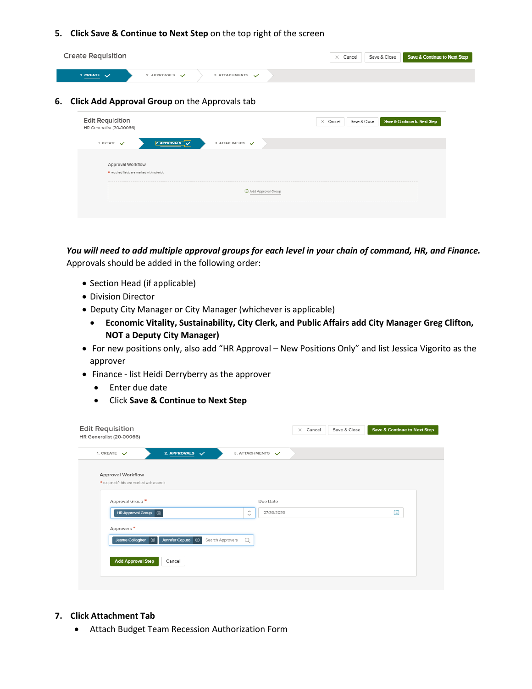## **5. Click Save & Continue to Next Step** on the top right of the screen

| Create Requisition                                                                                                                                                                                                                                          |                                               | Save & Close Save & Continue to Next Step<br>$\times$ Cancel |
|-------------------------------------------------------------------------------------------------------------------------------------------------------------------------------------------------------------------------------------------------------------|-----------------------------------------------|--------------------------------------------------------------|
| 1. CREATE $\sqrt{}$<br><u> a shi ne shekara ta 1980 a shekara ta 1980 a shekara ta 1980 a shekara ta 1981 a shekara ta 1981 a shekara ta 1981 a shekara ta 1981 a shekara ta 1981 a shekara ta 1981 a shekara ta 1981 a shekara ta 1981 a shekara ta 19</u> | 2. APPROVALS $\checkmark$<br>3. ATTACHMENTS V |                                                              |

### **6. Click Add Approval Group** on the Approvals tab

| Edit Requisition<br>HR Generalist (20-00066) |                    | Save & Continue to Next Step<br>Save & Close<br>$\times$ Cancel |
|----------------------------------------------|--------------------|-----------------------------------------------------------------|
| 1. CREATE V                                  | 3. ATTACHMENTS V   |                                                                 |
| Approval Workflow                            |                    |                                                                 |
| * required fields are marked with asterisk   |                    |                                                                 |
|                                              | Add Approval Group |                                                                 |

*You will need to add multiple approval groups for each level in your chain of command, HR, and Finance.*  Approvals should be added in the following order:

- Section Head (if applicable)
- Division Director
- Deputy City Manager or City Manager (whichever is applicable)
	- **Economic Vitality, Sustainability, City Clerk, and Public Affairs add City Manager Greg Clifton, NOT a Deputy City Manager)**
- For new positions only, also add "HR Approval New Positions Only" and list Jessica Vigorito as the approver
- Finance list Heidi Derryberry as the approver
	- Enter due date
	- Click **Save & Continue to Next Step**

| 3. ATTACHMENTS V |                         |                        |  |   |
|------------------|-------------------------|------------------------|--|---|
|                  |                         |                        |  |   |
|                  |                         |                        |  |   |
|                  |                         |                        |  |   |
| $\checkmark$     |                         |                        |  |   |
| $\alpha$         |                         |                        |  |   |
|                  |                         |                        |  |   |
| Search Approvers | $\widehat{\phantom{a}}$ | Due Date<br>07/30/2020 |  | 曲 |

### **7. Click Attachment Tab**

• Attach Budget Team Recession Authorization Form